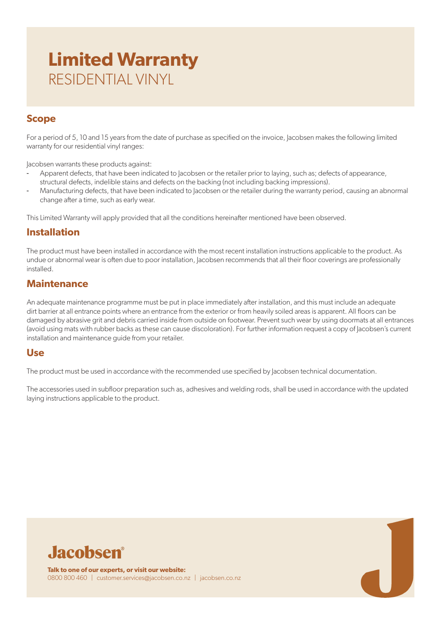# **Limited Warranty** RESIDENTIAL VINYL

## **Scope**

For a period of 5, 10 and 15 years from the date of purchase as specified on the invoice, Jacobsen makes the following limited warranty for our residential vinyl ranges:

Jacobsen warrants these products against:

- Apparent defects, that have been indicated to Jacobsen or the retailer prior to laying, such as; defects of appearance, structural defects, indelible stains and defects on the backing (not including backing impressions).
- Manufacturing defects, that have been indicated to Jacobsen or the retailer during the warranty period, causing an abnormal change after a time, such as early wear.

This Limited Warranty will apply provided that all the conditions hereinafter mentioned have been observed.

## **Installation**

The product must have been installed in accordance with the most recent installation instructions applicable to the product. As undue or abnormal wear is often due to poor installation, Jacobsen recommends that all their floor coverings are professionally installed.

## **Maintenance**

An adequate maintenance programme must be put in place immediately after installation, and this must include an adequate dirt barrier at all entrance points where an entrance from the exterior or from heavily soiled areas is apparent. All floors can be damaged by abrasive grit and debris carried inside from outside on footwear. Prevent such wear by using doormats at all entrances (avoid using mats with rubber backs as these can cause discoloration). For further information request a copy of Jacobsen's current installation and maintenance guide from your retailer.

### **Use**

The product must be used in accordance with the recommended use specified by Jacobsen technical documentation.

The accessories used in subfloor preparation such as, adhesives and welding rods, shall be used in accordance with the updated laying instructions applicable to the product.

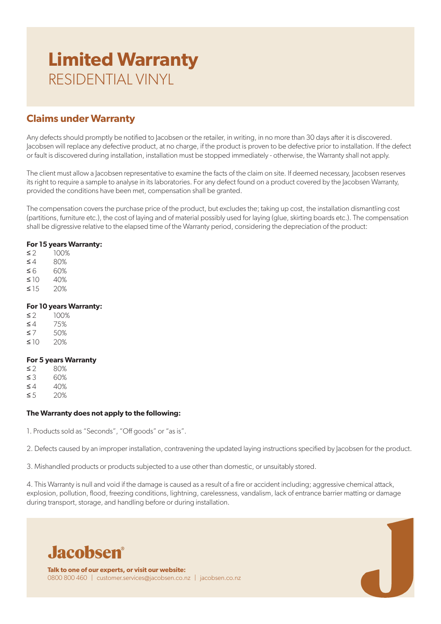# **Limited Warranty** RESIDENTIAL VINYL

## **Claims under Warranty**

Any defects should promptly be notified to Jacobsen or the retailer, in writing, in no more than 30 days after it is discovered. Jacobsen will replace any defective product, at no charge, if the product is proven to be defective prior to installation. If the defect or fault is discovered during installation, installation must be stopped immediately - otherwise, the Warranty shall not apply.

The client must allow a Jacobsen representative to examine the facts of the claim on site. If deemed necessary, Jacobsen reserves its right to require a sample to analyse in its laboratories. For any defect found on a product covered by the Jacobsen Warranty, provided the conditions have been met, compensation shall be granted.

The compensation covers the purchase price of the product, but excludes the; taking up cost, the installation dismantling cost (partitions, furniture etc.), the cost of laying and of material possibly used for laying (glue, skirting boards etc.). The compensation shall be digressive relative to the elapsed time of the Warranty period, considering the depreciation of the product:

### **For 15 years Warranty:**

 $≤ 2$  100%  $≤ 4$  80%  $≤ 6$  60%  $≤ 10 40%$  $≤ 15 20%$ 

### **For 10 years Warranty:**

| ≤ 2          | 100% |
|--------------|------|
| ≤4           | 75%  |
| ≤7           | 50%  |
| $\leq$ $ ()$ | 20%  |

### **For 5 years Warranty**

| ≤ 2           | 80%           |
|---------------|---------------|
| ≤З            | 60%           |
| ≤4            | 40%           |
| $\sim$ $\sim$ | $\cap$ $\cap$ |

 $≤ 5$  20%

#### **The Warranty does not apply to the following:**

1. Products sold as "Seconds", "Off goods" or "as is".

2. Defects caused by an improper installation, contravening the updated laying instructions specified by Jacobsen for the product.

3. Mishandled products or products subjected to a use other than domestic, or unsuitably stored.

4. This Warranty is null and void if the damage is caused as a result of a fire or accident including; aggressive chemical attack, explosion, pollution, flood, freezing conditions, lightning, carelessness, vandalism, lack of entrance barrier matting or damage during transport, storage, and handling before or during installation.



**Talk to one of our experts, or visit our website:** 0800 800 460 | customer.services@jacobsen.co.nz | jacobsen.co.nz